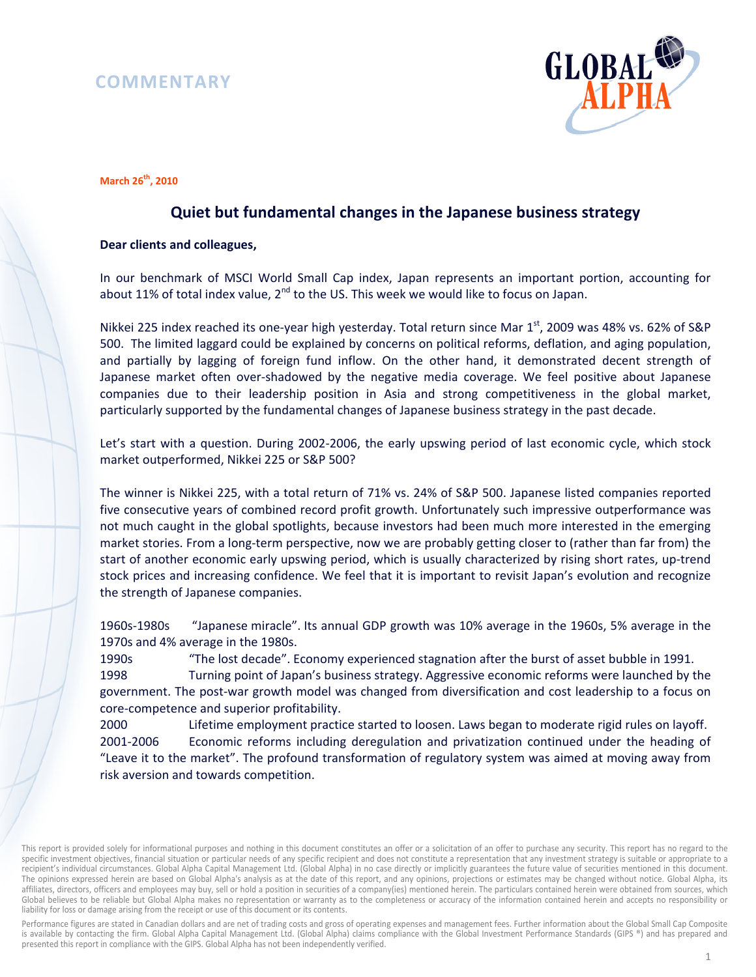## **COMMENTARY**



**March 26th, 2010** 

## **Quiet but fundamental changes in the Japanese business strategy**

## **Dear clients and colleagues,**

In our benchmark of MSCI World Small Cap index, Japan represents an important portion, accounting for about 11% of total index value,  $2^{nd}$  to the US. This week we would like to focus on Japan.

Nikkei 225 index reached its one-year high yesterday. Total return since Mar  $1<sup>st</sup>$ , 2009 was 48% vs. 62% of S&P 500. The limited laggard could be explained by concerns on political reforms, deflation, and aging population, and partially by lagging of foreign fund inflow. On the other hand, it demonstrated decent strength of Japanese market often over-shadowed by the negative media coverage. We feel positive about Japanese companies due to their leadership position in Asia and strong competitiveness in the global market, particularly supported by the fundamental changes of Japanese business strategy in the past decade.

Let's start with a question. During 2002-2006, the early upswing period of last economic cycle, which stock market outperformed, Nikkei 225 or S&P 500?

The winner is Nikkei 225, with a total return of 71% vs. 24% of S&P 500. Japanese listed companies reported five consecutive years of combined record profit growth. Unfortunately such impressive outperformance was not much caught in the global spotlights, because investors had been much more interested in the emerging market stories. From a long-term perspective, now we are probably getting closer to (rather than far from) the start of another economic early upswing period, which is usually characterized by rising short rates, up-trend stock prices and increasing confidence. We feel that it is important to revisit Japan's evolution and recognize the strength of Japanese companies.

1960s-1980s "Japanese miracle". Its annual GDP growth was 10% average in the 1960s, 5% average in the 1970s and 4% average in the 1980s.

1990s "The lost decade". Economy experienced stagnation after the burst of asset bubble in 1991.

1998 Turning point of Japan's business strategy. Aggressive economic reforms were launched by the government. The post-war growth model was changed from diversification and cost leadership to a focus on core-competence and superior profitability.

2000 Lifetime employment practice started to loosen. Laws began to moderate rigid rules on layoff. 2001-2006 Economic reforms including deregulation and privatization continued under the heading of "Leave it to the market". The profound transformation of regulatory system was aimed at moving away from risk aversion and towards competition.

Performance figures are stated in Canadian dollars and are net of trading costs and gross of operating expenses and management fees. Further information about the Global Small Cap Composite is available by contacting the firm. Global Alpha Capital Management Ltd. (Global Alpha) claims compliance with the Global Investment Performance Standards (GIPS ®) and has prepared and presented this report in compliance with the GIPS. Global Alpha has not been independently verified.

This report is provided solely for informational purposes and nothing in this document constitutes an offer or a solicitation of an offer to purchase any security. This report has no regard to the specific investment objectives, financial situation or particular needs of any specific recipient and does not constitute a representation that any investment strategy is suitable or appropriate to a recipient's individual circumstances. Global Alpha Capital Management Ltd. (Global Alpha) in no case directly or implicitly guarantees the future value of securities mentioned in this document. The opinions expressed herein are based on Global Alpha's analysis as at the date of this report, and any opinions, projections or estimates may be changed without notice. Global Alpha, its affiliates, directors, officers and employees may buy, sell or hold a position in securities of a company(ies) mentioned herein. The particulars contained herein were obtained from sources, which Global believes to be reliable but Global Alpha makes no representation or warranty as to the completeness or accuracy of the information contained herein and accepts no responsibility or liability for loss or damage arising from the receipt or use of this document or its contents.